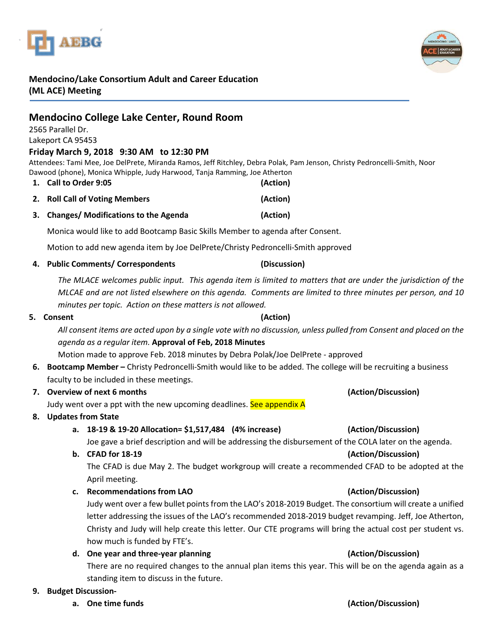



# **Mendocino/Lake Consortium Adult and Career Education (ML ACE) Meeting**

# **Mendocino College Lake Center, Round Room**

2565 Parallel Dr.

### Lakeport CA 95453

### **Friday March 9, 2018 9:30 AM to 12:30 PM**

Attendees: Tami Mee, Joe DelPrete, Miranda Ramos, Jeff Ritchley, Debra Polak, Pam Jenson, Christy Pedroncelli-Smith, Noor Dawood (phone), Monica Whipple, Judy Harwood, Tanja Ramming, Joe Atherton

- **1. Call to Order 9:05 (Action)**
- **2. Roll Call of Voting Members (Action)**
- **3. Changes/ Modifications to the Agenda (Action)**

Monica would like to add Bootcamp Basic Skills Member to agenda after Consent.

Motion to add new agenda item by Joe DelPrete/Christy Pedroncelli-Smith approved

**4. Public Comments/ Correspondents (Discussion)**

*The MLACE welcomes public input. This agenda item is limited to matters that are under the jurisdiction of the MLCAE and are not listed elsewhere on this agenda. Comments are limited to three minutes per person, and 10 minutes per topic. Action on these matters is not allowed.*

### **5. Consent (Action)**

*All consent items are acted upon by a single vote with no discussion, unless pulled from Consent and placed on the agenda as a regular item.* **Approval of Feb, 2018 Minutes**

Motion made to approve Feb. 2018 minutes by Debra Polak/Joe DelPrete - approved

**6. Bootcamp Member –** Christy Pedroncelli-Smith would like to be added. The college will be recruiting a business faculty to be included in these meetings.

### **7. Overview of next 6 months (Action/Discussion)**

Judy went over a ppt with the new upcoming deadlines. See appendix A

### **8. Updates from State**

## **a. 18-19 & 19-20 Allocation= \$1,517,484 (4% increase) (Action/Discussion)**

Joe gave a brief description and will be addressing the disbursement of the COLA later on the agenda.

### **b. CFAD for 18-19 (Action/Discussion)**

The CFAD is due May 2. The budget workgroup will create a recommended CFAD to be adopted at the April meeting.

**c. Recommendations from LAO (Action/Discussion)**

Judy went over a few bullet points from the LAO's 2018-2019 Budget. The consortium will create a unified letter addressing the issues of the LAO's recommended 2018-2019 budget revamping. Jeff, Joe Atherton, Christy and Judy will help create this letter. Our CTE programs will bring the actual cost per student vs. how much is funded by FTE's.

**d. One year and three-year planning (Action/Discussion)**

There are no required changes to the annual plan items this year. This will be on the agenda again as a standing item to discuss in the future.

### **9. Budget Discussion-**

**a. One time funds (Action/Discussion)**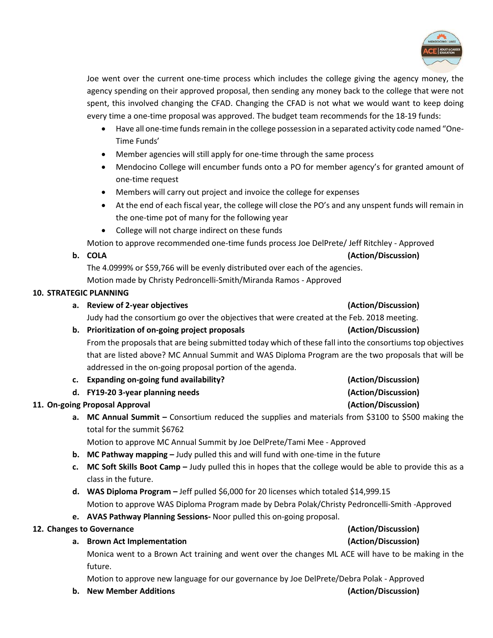

Joe went over the current one-time process which includes the college giving the agency money, the agency spending on their approved proposal, then sending any money back to the college that were not spent, this involved changing the CFAD. Changing the CFAD is not what we would want to keep doing every time a one-time proposal was approved. The budget team recommends for the 18-19 funds:

- Have all one-time funds remain in the college possession in a separated activity code named "One-Time Funds'
- Member agencies will still apply for one-time through the same process
- Mendocino College will encumber funds onto a PO for member agency's for granted amount of one-time request
- Members will carry out project and invoice the college for expenses
- At the end of each fiscal year, the college will close the PO's and any unspent funds will remain in the one-time pot of many for the following year
- College will not charge indirect on these funds

Motion to approve recommended one-time funds process Joe DelPrete/ Jeff Ritchley - Approved

### **b. COLA (Action/Discussion)**

The 4.0999% or \$59,766 will be evenly distributed over each of the agencies.

Motion made by Christy Pedroncelli-Smith/Miranda Ramos - Approved

### **10. STRATEGIC PLANNING**

| a. Review of 2-year objectives                                                                            | (Action/Discussion) |
|-----------------------------------------------------------------------------------------------------------|---------------------|
| Judy had the consortium go over the objectives that were created at the Feb. 2018 meeting.                |                     |
| b. Prioritization of on-going project proposals                                                           | (Action/Discussion) |
| From the proposals that are being submitted today which of these fall into the consortiums top objectives |                     |

that are listed above? MC Annual Summit and WAS Diploma Program are the two proposals that will be addressed in the on-going proposal portion of the agenda.

- **c. Expanding on-going fund availability? (Action/Discussion)**
- **d. FY19-20 3-year planning needs (Action/Discussion)**

# **11. On-going Proposal Approval (Action/Discussion)**

**a. MC Annual Summit –** Consortium reduced the supplies and materials from \$3100 to \$500 making the total for the summit \$6762

Motion to approve MC Annual Summit by Joe DelPrete/Tami Mee - Approved

- **b. MC Pathway mapping –** Judy pulled this and will fund with one-time in the future
- **c. MC Soft Skills Boot Camp –** Judy pulled this in hopes that the college would be able to provide this as a class in the future.
- **d. WAS Diploma Program –** Jeff pulled \$6,000 for 20 licenses which totaled \$14,999.15 Motion to approve WAS Diploma Program made by Debra Polak/Christy Pedroncelli-Smith -Approved
- **e. AVAS Pathway Planning Sessions-** Noor pulled this on-going proposal.

# **12. Changes to Governance (Action/Discussion)**

# **a. Brown Act Implementation (Action/Discussion)**

Monica went to a Brown Act training and went over the changes ML ACE will have to be making in the future.

Motion to approve new language for our governance by Joe DelPrete/Debra Polak - Approved

**b. New Member Additions (Action/Discussion)**